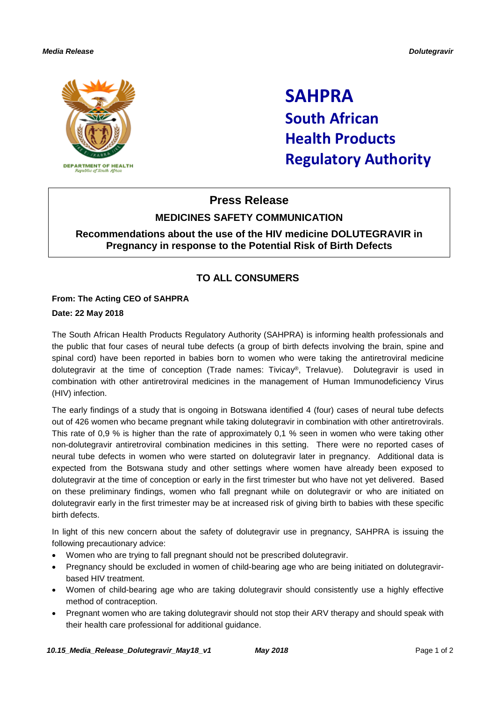#### *Media Release Dolutegravir*



**SAHPRA South African Health Products Regulatory Authority**

# **Press Release**

# **MEDICINES SAFETY COMMUNICATION**

### **Recommendations about the use of the HIV medicine DOLUTEGRAVIR in Pregnancy in response to the Potential Risk of Birth Defects**

# **TO ALL CONSUMERS**

### **From: The Acting CEO of SAHPRA**

**Date: 22 May 2018**

The South African Health Products Regulatory Authority (SAHPRA) is informing health professionals and the public that four cases of neural tube defects (a group of birth defects involving the brain, spine and spinal cord) have been reported in babies born to women who were taking the antiretroviral medicine dolutegravir at the time of conception (Trade names: Tivicay®, Trelavue). Dolutegravir is used in combination with other antiretroviral medicines in the management of Human Immunodeficiency Virus (HIV) infection.

The early findings of a study that is ongoing in Botswana identified 4 (four) cases of neural tube defects out of 426 women who became pregnant while taking dolutegravir in combination with other antiretrovirals. This rate of 0,9 % is higher than the rate of approximately 0,1 % seen in women who were taking other non-dolutegravir antiretroviral combination medicines in this setting. There were no reported cases of neural tube defects in women who were started on dolutegravir later in pregnancy. Additional data is expected from the Botswana study and other settings where women have already been exposed to dolutegravir at the time of conception or early in the first trimester but who have not yet delivered. Based on these preliminary findings, women who fall pregnant while on dolutegravir or who are initiated on dolutegravir early in the first trimester may be at increased risk of giving birth to babies with these specific birth defects.

In light of this new concern about the safety of dolutegravir use in pregnancy, SAHPRA is issuing the following precautionary advice:

- Women who are trying to fall pregnant should not be prescribed dolutegravir.
- Pregnancy should be excluded in women of child-bearing age who are being initiated on dolutegravirbased HIV treatment.
- Women of child-bearing age who are taking dolutegravir should consistently use a highly effective method of contraception.
- Pregnant women who are taking dolutegravir should not stop their ARV therapy and should speak with their health care professional for additional guidance.